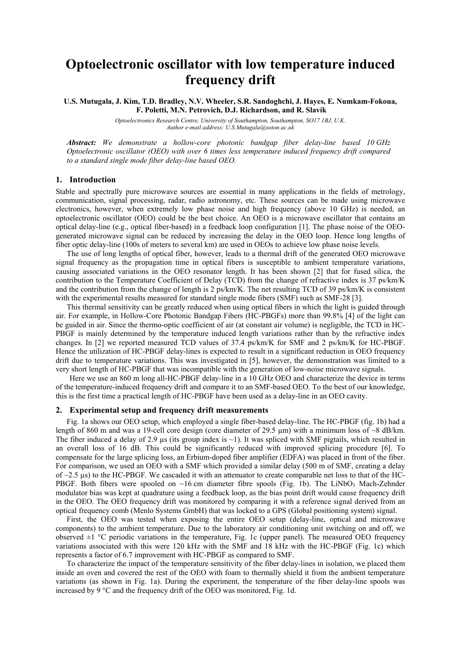# **Optoelectronic oscillator with low temperature induced frequency drift**

**U.S. Mutugala, J. Kim, T.D. Bradley, N.V. Wheeler, S.R. Sandoghchi, J. Hayes, E. Numkam-Fokoua, F. Poletti, M.N. Petrovich, D.J. Richardson, and R. Slavík** 

> *Optoelectronics Research Centre, University of Southampton, Southampton, SO17 1BJ, U.K. Author e-mail address: U.S.Mutugala@soton.ac.uk*

*Abstract: We demonstrate a hollow-core photonic bandgap fiber delay-line based 10 GHz Optoelectronic oscillator (OEO) with over 6 times less temperature induced frequency drift compared to a standard single mode fiber delay-line based OEO.* 

#### **1. Introduction**

Stable and spectrally pure microwave sources are essential in many applications in the fields of metrology, communication, signal processing, radar, radio astronomy, etc. These sources can be made using microwave electronics, however, when extremely low phase noise and high frequency (above 10 GHz) is needed, an optoelectronic oscillator (OEO) could be the best choice. An OEO is a microwave oscillator that contains an optical delay-line (e.g., optical fiber-based) in a feedback loop configuration [1]. The phase noise of the OEOgenerated microwave signal can be reduced by increasing the delay in the OEO loop. Hence long lengths of fiber optic delay-line (100s of meters to several km) are used in OEOs to achieve low phase noise levels.

The use of long lengths of optical fiber, however, leads to a thermal drift of the generated OEO microwave signal frequency as the propagation time in optical fibers is susceptible to ambient temperature variations, causing associated variations in the OEO resonator length. It has been shown [2] that for fused silica, the contribution to the Temperature Coefficient of Delay (TCD) from the change of refractive index is 37 ps/km/K and the contribution from the change of length is 2 ps/km/K. The net resulting TCD of 39 ps/km/K is consistent with the experimental results measured for standard single mode fibers (SMF) such as SMF-28 [3].

This thermal sensitivity can be greatly reduced when using optical fibers in which the light is guided through air. For example, in Hollow-Core Photonic Bandgap Fibers (HC-PBGFs) more than 99.8% [4] of the light can be guided in air. Since the thermo-optic coefficient of air (at constant air volume) is negligible, the TCD in HC-PBGF is mainly determined by the temperature induced length variations rather than by the refractive index changes. In [2] we reported measured TCD values of 37.4 ps/km/K for SMF and 2 ps/km/K for HC-PBGF. Hence the utilization of HC-PBGF delay-lines is expected to result in a significant reduction in OEO frequency drift due to temperature variations. This was investigated in [5], however, the demonstration was limited to a very short length of HC-PBGF that was incompatible with the generation of low-noise microwave signals.

Here we use an 860 m long all-HC-PBGF delay-line in a 10 GHz OEO and characterize the device in terms of the temperature-induced frequency drift and compare it to an SMF-based OEO. To the best of our knowledge, this is the first time a practical length of HC-PBGF have been used as a delay-line in an OEO cavity.

### **2. Experimental setup and frequency drift measurements**

Fig. 1a shows our OEO setup, which employed a single fiber-based delay-line. The HC-PBGF (fig. 1b) had a length of 860 m and was a 19-cell core design (core diameter of 29.5  $\mu$ m) with a minimum loss of ~8 dB/km. The fiber induced a delay of 2.9  $\mu$ s (its group index is  $\sim$ 1). It was spliced with SMF pigtails, which resulted in an overall loss of 16 dB. This could be significantly reduced with improved splicing procedure [6]. To compensate for the large splicing loss, an Erbium-doped fiber amplifier (EDFA) was placed in front of the fiber. For comparison, we used an OEO with a SMF which provided a similar delay (500 m of SMF, creating a delay of  $\sim$ 2.5  $\mu$ s) to the HC-PBGF. We cascaded it with an attenuator to create comparable net loss to that of the HC-PBGF. Both fibers were spooled on  $\sim$ 16 cm diameter fibre spools (Fig. 1b). The LiNbO<sub>3</sub> Mach-Zehnder modulator bias was kept at quadrature using a feedback loop, as the bias point drift would cause frequency drift in the OEO. The OEO frequency drift was monitored by comparing it with a reference signal derived from an optical frequency comb (Menlo Systems GmbH) that was locked to a GPS (Global positioning system) signal.

First, the OEO was tested when exposing the entire OEO setup (delay-line, optical and microwave components) to the ambient temperature. Due to the laboratory air conditioning unit switching on and off, we observed  $\pm 1$  °C periodic variations in the temperature, Fig. 1c (upper panel). The measured OEO frequency variations associated with this were 120 kHz with the SMF and 18 kHz with the HC-PBGF (Fig. 1c) which represents a factor of 6.7 improvement with HC-PBGF as compared to SMF.

To characterize the impact of the temperature sensitivity of the fiber delay-lines in isolation, we placed them inside an oven and covered the rest of the OEO with foam to thermally shield it from the ambient temperature variations (as shown in Fig. 1a). During the experiment, the temperature of the fiber delay-line spools was increased by 9 °C and the frequency drift of the OEO was monitored, Fig. 1d.